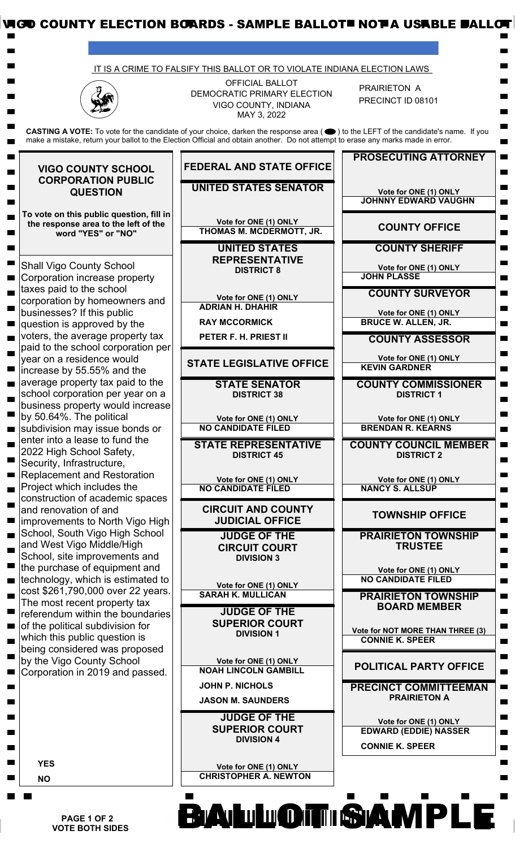|                                                                                                                                                                                                                                                                                                                                                   | IT IS A CRIME TO FALSIFY THIS BALLOT OR TO VIOLATE INDIANA ELECTION LAWS                                                                                                                                                                                               |                                                                                 |
|---------------------------------------------------------------------------------------------------------------------------------------------------------------------------------------------------------------------------------------------------------------------------------------------------------------------------------------------------|------------------------------------------------------------------------------------------------------------------------------------------------------------------------------------------------------------------------------------------------------------------------|---------------------------------------------------------------------------------|
|                                                                                                                                                                                                                                                                                                                                                   | <b>OFFICIAL BALLOT</b><br>DEMOCRATIC PRIMARY ELECTION<br>VIGO COUNTY, INDIANA<br>MAY 3, 2022                                                                                                                                                                           | PRAIRIETON A<br>PRECINCT ID 08101                                               |
|                                                                                                                                                                                                                                                                                                                                                   | CASTING A VOTE: To vote for the candidate of your choice, darken the response area (●) to the LEFT of the candidate's name. If you<br>make a mistake, return your ballot to the Election Official and obtain another. Do not attempt to erase any marks made in error. |                                                                                 |
| <b>VIGO COUNTY SCHOOL</b>                                                                                                                                                                                                                                                                                                                         | <b>FEDERAL AND STATE OFFICE</b>                                                                                                                                                                                                                                        | <b>PROSECUTING ATTORNEY</b>                                                     |
| <b>CORPORATION PUBLIC</b><br><b>QUESTION</b><br>To vote on this public question, fill in<br>the response area to the left of the<br>word "YES" or "NO"<br><b>Shall Vigo County School</b><br>Corporation increase property<br>taxes paid to the school                                                                                            | <b>UNITED STATES SENATOR</b>                                                                                                                                                                                                                                           | Vote for ONE (1) ONLY<br><b>JOHNNY EDWARD VAUGHN</b>                            |
|                                                                                                                                                                                                                                                                                                                                                   | Vote for ONE (1) ONLY<br>THOMAS M. MCDERMOTT, JR.                                                                                                                                                                                                                      | <b>COUNTY OFFICE</b>                                                            |
|                                                                                                                                                                                                                                                                                                                                                   | <b>UNITED STATES</b><br><b>REPRESENTATIVE</b>                                                                                                                                                                                                                          | <b>COUNTY SHERIFF</b>                                                           |
|                                                                                                                                                                                                                                                                                                                                                   | <b>DISTRICT 8</b>                                                                                                                                                                                                                                                      | Vote for ONE (1) ONLY<br><b>JOHN PLASSE</b>                                     |
| corporation by homeowners and<br>businesses? If this public                                                                                                                                                                                                                                                                                       | Vote for ONE (1) ONLY<br><b>ADRIAN H. DHAHIR</b>                                                                                                                                                                                                                       | <b>COUNTY SURVEYOR</b><br>Vote for ONE (1) ONLY                                 |
| question is approved by the<br>voters, the average property tax<br>paid to the school corporation per<br>year on a residence would<br>increase by 55.55% and the<br>average property tax paid to the<br>school corporation per year on a                                                                                                          | <b>RAY MCCORMICK</b><br>PETER F. H. PRIEST II                                                                                                                                                                                                                          | <b>BRUCE W. ALLEN, JR.</b><br><b>COUNTY ASSESSOR</b>                            |
|                                                                                                                                                                                                                                                                                                                                                   | <b>STATE LEGISLATIVE OFFICE</b>                                                                                                                                                                                                                                        | Vote for ONE (1) ONLY<br><b>KEVIN GARDNER</b>                                   |
|                                                                                                                                                                                                                                                                                                                                                   | <b>STATE SENATOR</b><br><b>DISTRICT 38</b>                                                                                                                                                                                                                             | <b>COUNTY COMMISSIONER</b><br><b>DISTRICT 1</b>                                 |
| business property would increase<br>by 50.64%. The political                                                                                                                                                                                                                                                                                      | Vote for ONE (1) ONLY<br><b>NO CANDIDATE FILED</b>                                                                                                                                                                                                                     | Vote for ONE (1) ONLY<br><b>BRENDAN R. KEARNS</b>                               |
| subdivision may issue bonds or<br>enter into a lease to fund the<br>2022 High School Safety,                                                                                                                                                                                                                                                      | <b>STATE REPRESENTATIVE</b><br><b>DISTRICT 45</b>                                                                                                                                                                                                                      | <b>COUNTY COUNCIL MEMBER</b><br><b>DISTRICT 2</b>                               |
| Security, Infrastructure,<br><b>Replacement and Restoration</b>                                                                                                                                                                                                                                                                                   | Vote for ONE (1) ONLY                                                                                                                                                                                                                                                  | Vote for ONE (1) ONLY                                                           |
| Project which includes the<br>construction of academic spaces<br>and renovation of and                                                                                                                                                                                                                                                            | <b>NO CANDIDATE FILED</b><br><b>CIRCUIT AND COUNTY</b>                                                                                                                                                                                                                 | <b>NANCY S. ALLSUP</b>                                                          |
| improvements to North Vigo High                                                                                                                                                                                                                                                                                                                   | <b>JUDICIAL OFFICE</b>                                                                                                                                                                                                                                                 | <b>TOWNSHIP OFFICE</b>                                                          |
| School, South Vigo High School<br>and West Vigo Middle/High<br>School, site improvements and                                                                                                                                                                                                                                                      | <b>JUDGE OF THE</b><br><b>CIRCUIT COURT</b><br><b>DIVISION 3</b>                                                                                                                                                                                                       | <b>PRAIRIETON TOWNSHIP</b><br><b>TRUSTEE</b>                                    |
| the purchase of equipment and<br>technology, which is estimated to<br>cost \$261,790,000 over 22 years.<br>The most recent property tax<br>referendum within the boundaries<br>of the political subdivision for<br>which this public question is<br>being considered was proposed<br>by the Vigo County School<br>Corporation in 2019 and passed. | Vote for ONE (1) ONLY                                                                                                                                                                                                                                                  | Vote for ONE (1) ONLY<br><b>NO CANDIDATE FILED</b>                              |
|                                                                                                                                                                                                                                                                                                                                                   | <b>SARAH K. MULLICAN</b><br><b>JUDGE OF THE</b>                                                                                                                                                                                                                        | <b>PRAIRIETON TOWNSHIP</b><br><b>BOARD MEMBER</b>                               |
|                                                                                                                                                                                                                                                                                                                                                   | <b>SUPERIOR COURT</b><br><b>DIVISION 1</b>                                                                                                                                                                                                                             | Vote for NOT MORE THAN THREE (3)<br><b>CONNIE K. SPEER</b>                      |
|                                                                                                                                                                                                                                                                                                                                                   | Vote for ONE (1) ONLY<br><b>NOAH LINCOLN GAMBILL</b>                                                                                                                                                                                                                   | <b>POLITICAL PARTY OFFICE</b>                                                   |
|                                                                                                                                                                                                                                                                                                                                                   | <b>JOHN P. NICHOLS</b><br><b>JASON M. SAUNDERS</b>                                                                                                                                                                                                                     | <b>PRECINCT COMMITTEEMAN</b><br><b>PRAIRIETON A</b>                             |
|                                                                                                                                                                                                                                                                                                                                                   | <b>JUDGE OF THE</b><br><b>SUPERIOR COURT</b><br><b>DIVISION 4</b>                                                                                                                                                                                                      | Vote for ONE (1) ONLY<br><b>EDWARD (EDDIE) NASSER</b><br><b>CONNIE K. SPEER</b> |
| <b>YES</b><br><b>NO</b>                                                                                                                                                                                                                                                                                                                           | Vote for ONE (1) ONLY<br><b>CHRISTOPHER A. NEWTON</b>                                                                                                                                                                                                                  |                                                                                 |